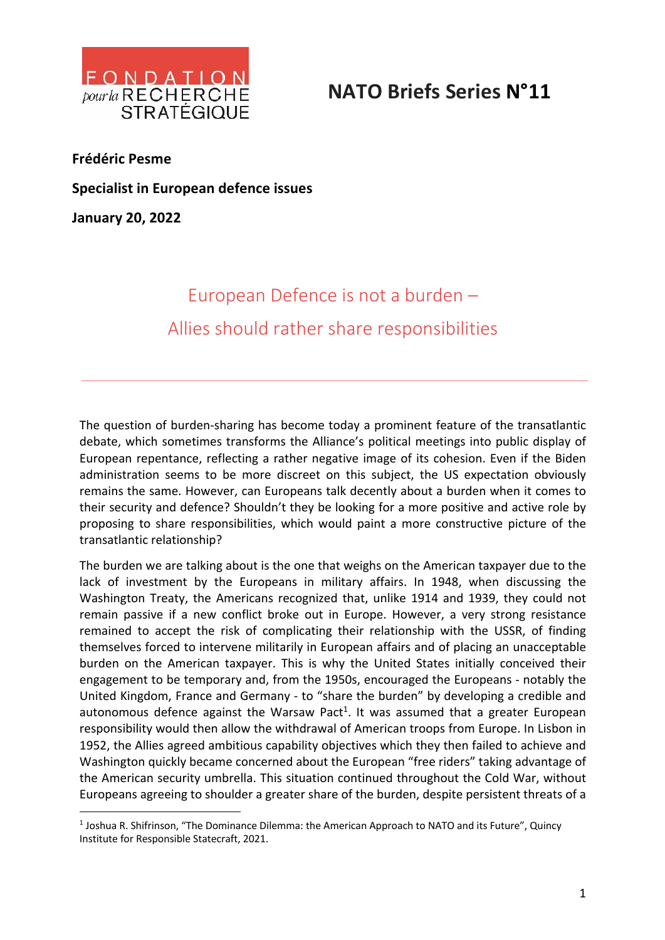

## **NATO Briefs Series N°11**

**Frédéric Pesme**

**Specialist in European defence issues**

**January 20, 2022**

## European Defence is not a burden – Allies should rather share responsibilities

The question of burden-sharing has become today a prominent feature of the transatlantic debate, which sometimes transforms the Alliance's political meetings into public display of European repentance, reflecting a rather negative image of its cohesion. Even if the Biden administration seems to be more discreet on this subject, the US expectation obviously remains the same. However, can Europeans talk decently about a burden when it comes to their security and defence? Shouldn't they be looking for a more positive and active role by proposing to share responsibilities, which would paint a more constructive picture of the transatlantic relationship?

The burden we are talking about is the one that weighs on the American taxpayer due to the lack of investment by the Europeans in military affairs. In 1948, when discussing the Washington Treaty, the Americans recognized that, unlike 1914 and 1939, they could not remain passive if a new conflict broke out in Europe. However, a very strong resistance remained to accept the risk of complicating their relationship with the USSR, of finding themselves forced to intervene militarily in European affairs and of placing an unacceptable burden on the American taxpayer. This is why the United States initially conceived their engagement to be temporary and, from the 1950s, encouraged the Europeans - notably the United Kingdom, France and Germany - to "share the burden" by developing a credible and autonomous defence against the Warsaw Pact<sup>1</sup>. It was assumed that a greater European responsibility would then allow the withdrawal of American troops from Europe. In Lisbon in 1952, the Allies agreed ambitious capability objectives which they then failed to achieve and Washington quickly became concerned about the European "free riders" taking advantage of the American security umbrella. This situation continued throughout the Cold War, without Europeans agreeing to shoulder a greater share of the burden, despite persistent threats of a

<sup>&</sup>lt;sup>1</sup> Joshua R. Shifrinson, "The Dominance Dilemma: the American Approach to NATO and its Future", Quincy Institute for Responsible Statecraft, 2021.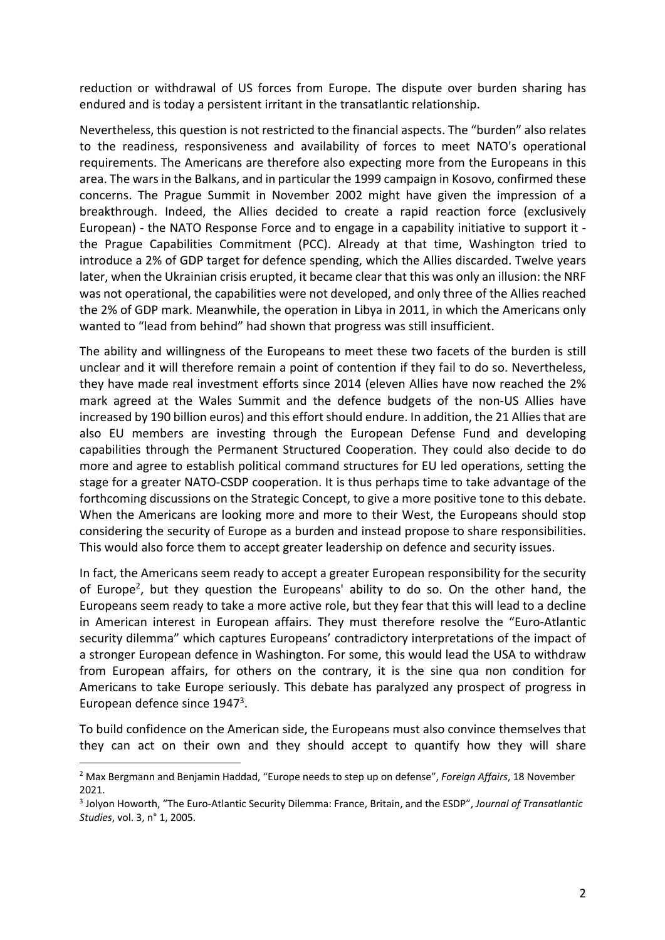reduction or withdrawal of US forces from Europe. The dispute over burden sharing has endured and is today a persistent irritant in the transatlantic relationship.

Nevertheless, this question is not restricted to the financial aspects. The "burden" also relates to the readiness, responsiveness and availability of forces to meet NATO's operational requirements. The Americans are therefore also expecting more from the Europeans in this area. The wars in the Balkans, and in particular the 1999 campaign in Kosovo, confirmed these concerns. The Prague Summit in November 2002 might have given the impression of a breakthrough. Indeed, the Allies decided to create a rapid reaction force (exclusively European) - the NATO Response Force and to engage in a capability initiative to support it the Prague Capabilities Commitment (PCC). Already at that time, Washington tried to introduce a 2% of GDP target for defence spending, which the Allies discarded. Twelve years later, when the Ukrainian crisis erupted, it became clear that this was only an illusion: the NRF was not operational, the capabilities were not developed, and only three of the Allies reached the 2% of GDP mark. Meanwhile, the operation in Libya in 2011, in which the Americans only wanted to "lead from behind" had shown that progress was still insufficient.

The ability and willingness of the Europeans to meet these two facets of the burden is still unclear and it will therefore remain a point of contention if they fail to do so. Nevertheless, they have made real investment efforts since 2014 (eleven Allies have now reached the 2% mark agreed at the Wales Summit and the defence budgets of the non-US Allies have increased by 190 billion euros) and this effort should endure. In addition, the 21 Allies that are also EU members are investing through the European Defense Fund and developing capabilities through the Permanent Structured Cooperation. They could also decide to do more and agree to establish political command structures for EU led operations, setting the stage for a greater NATO-CSDP cooperation. It is thus perhaps time to take advantage of the forthcoming discussions on the Strategic Concept, to give a more positive tone to this debate. When the Americans are looking more and more to their West, the Europeans should stop considering the security of Europe as a burden and instead propose to share responsibilities. This would also force them to accept greater leadership on defence and security issues.

In fact, the Americans seem ready to accept a greater European responsibility for the security of Europe<sup>2</sup>, but they question the Europeans' ability to do so. On the other hand, the Europeans seem ready to take a more active role, but they fear that this will lead to a decline in American interest in European affairs. They must therefore resolve the "Euro-Atlantic security dilemma" which captures Europeans' contradictory interpretations of the impact of a stronger European defence in Washington. For some, this would lead the USA to withdraw from European affairs, for others on the contrary, it is the sine qua non condition for Americans to take Europe seriously. This debate has paralyzed any prospect of progress in European defence since 19473.

To build confidence on the American side, the Europeans must also convince themselves that they can act on their own and they should accept to quantify how they will share

<sup>2</sup> Max Bergmann and Benjamin Haddad, "Europe needs to step up on defense", *Foreign Affairs*, 18 November 2021.

<sup>3</sup> Jolyon Howorth, "The Euro-Atlantic Security Dilemma: France, Britain, and the ESDP", *Journal of Transatlantic Studies*, vol. 3, n° 1, 2005.